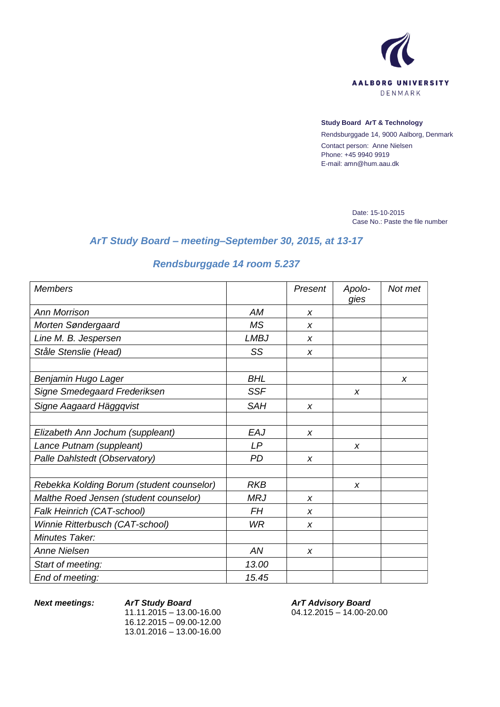

## **Study Board ArT & Technology**

Rendsburggade 14, 9000 Aalborg, Denmark Contact person: Anne Nielsen Phone: +45 9940 9919 E-mail: amn@hum.aau.dk

> Date: 15-10-2015 Case No.: Paste the file number

## *ArT Study Board – meeting–September 30, 2015, at 13-17*

## *Rendsburggade 14 room 5.237*

| <b>Members</b>                            |             | Present          | Apolo-<br>gies | Not met |
|-------------------------------------------|-------------|------------------|----------------|---------|
| <b>Ann Morrison</b>                       | AM          | X                |                |         |
| Morten Søndergaard                        | <b>MS</b>   | X                |                |         |
| Line M. B. Jespersen                      | <b>LMBJ</b> | X                |                |         |
| Ståle Stenslie (Head)                     | SS          | X                |                |         |
| Benjamin Hugo Lager                       | <b>BHL</b>  |                  |                | X       |
| Signe Smedegaard Frederiksen              | <b>SSF</b>  |                  | X              |         |
| Signe Aagaard Häggqvist                   | <b>SAH</b>  | X                |                |         |
| Elizabeth Ann Jochum (suppleant)          | EAJ         | X                |                |         |
| Lance Putnam (suppleant)                  | LP          |                  | X              |         |
| Palle Dahlstedt (Observatory)             | <b>PD</b>   | X                |                |         |
| Rebekka Kolding Borum (student counselor) | <b>RKB</b>  |                  | X              |         |
| Malthe Roed Jensen (student counselor)    | <b>MRJ</b>  | X                |                |         |
| Falk Heinrich (CAT-school)                | FΗ          | X                |                |         |
| Winnie Ritterbusch (CAT-school)           | WR          | X                |                |         |
| Minutes Taker:                            |             |                  |                |         |
| <b>Anne Nielsen</b>                       | AN          | $\boldsymbol{x}$ |                |         |
| Start of meeting:                         | 13.00       |                  |                |         |
| End of meeting:                           | 15.45       |                  |                |         |

*Next meetings: ArT Study Board*  $11.11.2015 - 13.00 - 16.00$ 16.12.2015 – 09.00-12.00 13.01.2016 – 13.00-16.00

*ArT Advisory Board* 04.12.2015 – 14.00-20.00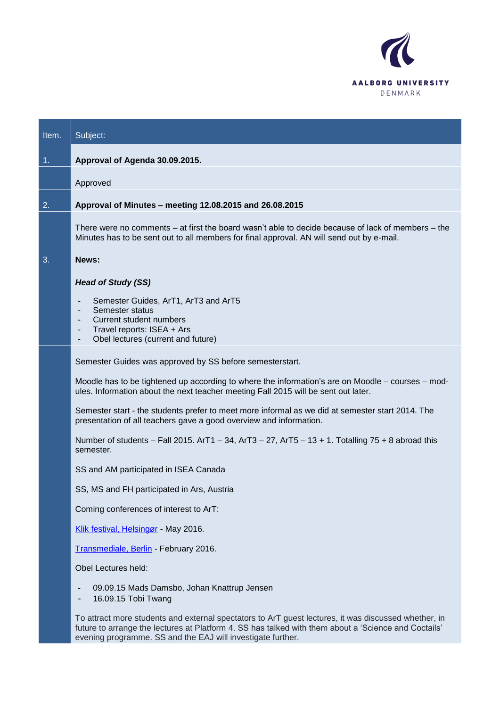

| Item.          | Subject:                                                                                                                                                                                                                                                                    |
|----------------|-----------------------------------------------------------------------------------------------------------------------------------------------------------------------------------------------------------------------------------------------------------------------------|
| 1 <sub>1</sub> | Approval of Agenda 30.09.2015.                                                                                                                                                                                                                                              |
|                | Approved                                                                                                                                                                                                                                                                    |
| 2.             | Approval of Minutes - meeting 12.08.2015 and 26.08.2015                                                                                                                                                                                                                     |
|                | There were no comments – at first the board wasn't able to decide because of lack of members – the<br>Minutes has to be sent out to all members for final approval. AN will send out by e-mail.                                                                             |
| 3.             | News:                                                                                                                                                                                                                                                                       |
|                | <b>Head of Study (SS)</b>                                                                                                                                                                                                                                                   |
|                | Semester Guides, ArT1, ArT3 and ArT5<br>Semester status<br>-<br><b>Current student numbers</b><br>٠<br>Travel reports: ISEA + Ars<br>٠<br>Obel lectures (current and future)<br>۰                                                                                           |
|                | Semester Guides was approved by SS before semesterstart.                                                                                                                                                                                                                    |
|                | Moodle has to be tightened up according to where the information's are on Moodle – courses – mod-<br>ules. Information about the next teacher meeting Fall 2015 will be sent out later.                                                                                     |
|                | Semester start - the students prefer to meet more informal as we did at semester start 2014. The<br>presentation of all teachers gave a good overview and information.                                                                                                      |
|                | Number of students – Fall 2015. ArT1 – 34, ArT3 – 27, ArT5 – 13 + 1. Totalling $75 + 8$ abroad this<br>semester.                                                                                                                                                            |
|                | SS and AM participated in ISEA Canada                                                                                                                                                                                                                                       |
|                | SS, MS and FH participated in Ars, Austria                                                                                                                                                                                                                                  |
|                | Coming conferences of interest to ArT:                                                                                                                                                                                                                                      |
|                | Klik festival, Helsingør - May 2016.                                                                                                                                                                                                                                        |
|                | Transmediale, Berlin - February 2016.                                                                                                                                                                                                                                       |
|                | Obel Lectures held:                                                                                                                                                                                                                                                         |
|                | 09.09.15 Mads Damsbo, Johan Knattrup Jensen<br>16.09.15 Tobi Twang                                                                                                                                                                                                          |
|                | To attract more students and external spectators to ArT guest lectures, it was discussed whether, in<br>future to arrange the lectures at Platform 4. SS has talked with them about a 'Science and Coctails'<br>evening programme. SS and the EAJ will investigate further. |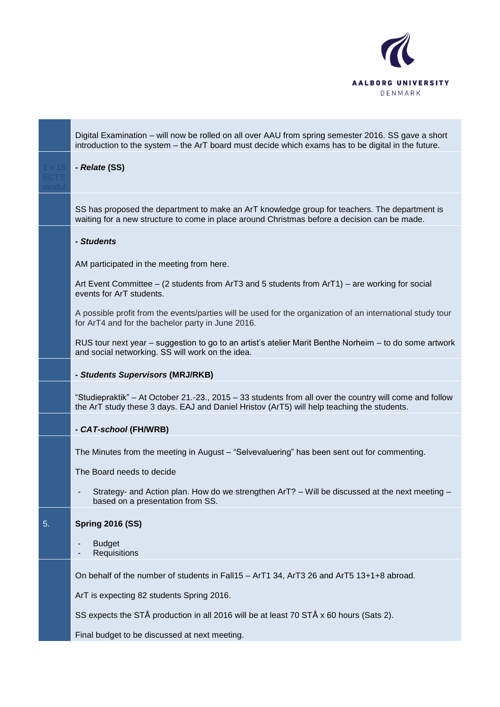

Digital Examination – will now be rolled on all over AAU from spring semester 2016. SS gave a short introduction to the system – the ArT board must decide which exams has to be digital in the future. *- Relate* **(SS)** SS has proposed the department to make an ArT knowledge group for teachers. The department is waiting for a new structure to come in place around Christmas before a decision can be made. *- Students* AM participated in the meeting from here. Art Event Committee – (2 students from ArT3 and 5 students from ArT1) – are working for social events for ArT students. A possible profit from the events/parties will be used for the organization of an international study tour for ArT4 and for the bachelor party in June 2016. RUS tour next year – suggestion to go to an artist"s atelier Marit Benthe Norheim – to do some artwork and social networking. SS will work on the idea. *- Students Supervisors* **(MRJ/RKB)** "Studiepraktik" – At October 21.-23., 2015 – 33 students from all over the country will come and follow the ArT study these 3 days. EAJ and Daniel Hristov (ArT5) will help teaching the students. *- CAT-school* **(FH/WRB)** The Minutes from the meeting in August – "Selvevaluering" has been sent out for commenting. The Board needs to decide - Strategy- and Action plan. How do we strengthen ArT? – Will be discussed at the next meeting – based on a presentation from SS. 5. **Spring 2016 (SS) Budget Requisitions** On behalf of the number of students in Fall15 – ArT1 34, ArT3 26 and ArT5 13+1+8 abroad. ArT is expecting 82 students Spring 2016. SS expects the STÅ production in all 2016 will be at least 70 STÅ x 60 hours (Sats 2). Final budget to be discussed at next meeting.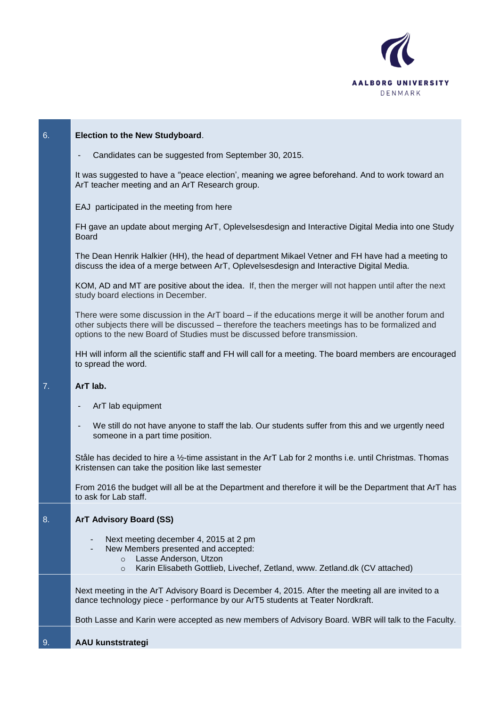

| 6. | Election to the New Studyboard.                                                                                                                                                                                                                                                       |
|----|---------------------------------------------------------------------------------------------------------------------------------------------------------------------------------------------------------------------------------------------------------------------------------------|
|    | Candidates can be suggested from September 30, 2015.                                                                                                                                                                                                                                  |
|    | It was suggested to have a "peace election', meaning we agree beforehand. And to work toward an<br>ArT teacher meeting and an ArT Research group.                                                                                                                                     |
|    | EAJ participated in the meeting from here                                                                                                                                                                                                                                             |
|    | FH gave an update about merging ArT, Oplevelsesdesign and Interactive Digital Media into one Study<br><b>Board</b>                                                                                                                                                                    |
|    | The Dean Henrik Halkier (HH), the head of department Mikael Vetner and FH have had a meeting to<br>discuss the idea of a merge between ArT, Oplevelsesdesign and Interactive Digital Media.                                                                                           |
|    | KOM, AD and MT are positive about the idea. If, then the merger will not happen until after the next<br>study board elections in December.                                                                                                                                            |
|    | There were some discussion in the ArT board – if the educations merge it will be another forum and<br>other subjects there will be discussed - therefore the teachers meetings has to be formalized and<br>options to the new Board of Studies must be discussed before transmission. |
|    | HH will inform all the scientific staff and FH will call for a meeting. The board members are encouraged<br>to spread the word.                                                                                                                                                       |
| 7. | ArT lab.                                                                                                                                                                                                                                                                              |
|    | ArT lab equipment                                                                                                                                                                                                                                                                     |
|    | We still do not have anyone to staff the lab. Our students suffer from this and we urgently need<br>someone in a part time position.                                                                                                                                                  |
|    | Ståle has decided to hire a 1/2-time assistant in the ArT Lab for 2 months i.e. until Christmas. Thomas<br>Kristensen can take the position like last semester                                                                                                                        |
|    | From 2016 the budget will all be at the Department and therefore it will be the Department that ArT has<br>to ask for Lab staff.                                                                                                                                                      |
| 8. | <b>ArT Advisory Board (SS)</b>                                                                                                                                                                                                                                                        |
|    | Next meeting december 4, 2015 at 2 pm<br>٠<br>New Members presented and accepted:<br>Lasse Anderson, Utzon<br>$\circ$<br>Karin Elisabeth Gottlieb, Livechef, Zetland, www. Zetland.dk (CV attached)<br>$\circ$                                                                        |
|    | Next meeting in the ArT Advisory Board is December 4, 2015. After the meeting all are invited to a<br>dance technology piece - performance by our ArT5 students at Teater Nordkraft.                                                                                                  |
|    | Both Lasse and Karin were accepted as new members of Advisory Board. WBR will talk to the Faculty.                                                                                                                                                                                    |
| 9. | <b>AAU kunststrategi</b>                                                                                                                                                                                                                                                              |